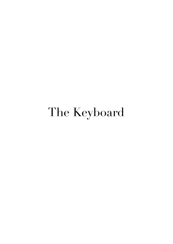## The Keyboard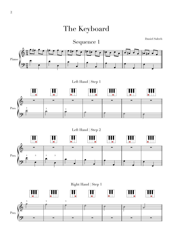The Keyboard

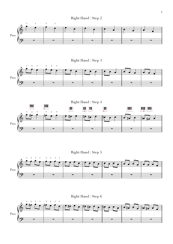





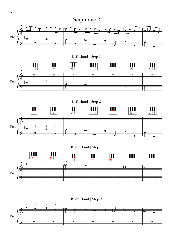

**<sup>3</sup> <sup>1</sup> <sup>3</sup> <sup>1</sup>** Right Hand <sup>|</sup> Step